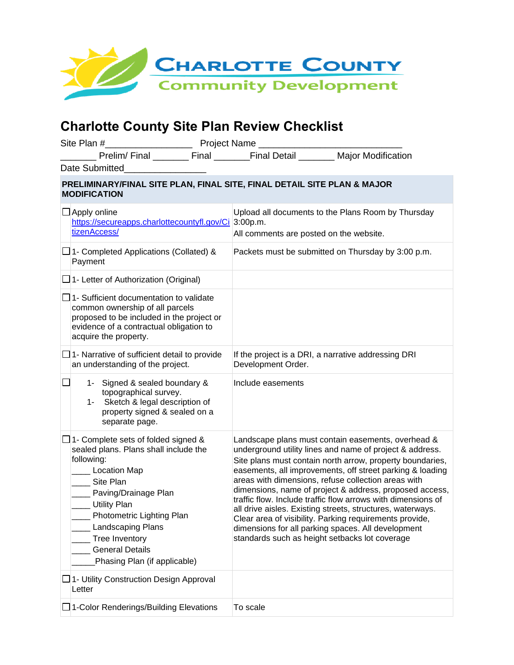

## **Charlotte County Site Plan Review Checklist**

| <b>EXAMPLE Project Name</b> _______<br>Site Plan #                                             |                                                                                                                                                                                                                                                                                                                      |  |                                                                            |                                                                                                                                                                                                                                                                                                                                                                                                                                                                                                                                                                                                           |  |
|------------------------------------------------------------------------------------------------|----------------------------------------------------------------------------------------------------------------------------------------------------------------------------------------------------------------------------------------------------------------------------------------------------------------------|--|----------------------------------------------------------------------------|-----------------------------------------------------------------------------------------------------------------------------------------------------------------------------------------------------------------------------------------------------------------------------------------------------------------------------------------------------------------------------------------------------------------------------------------------------------------------------------------------------------------------------------------------------------------------------------------------------------|--|
|                                                                                                | Date Submitted                                                                                                                                                                                                                                                                                                       |  | Prelim/Final ________ Final _______Final Detail _______ Major Modification |                                                                                                                                                                                                                                                                                                                                                                                                                                                                                                                                                                                                           |  |
| PRELIMINARY/FINAL SITE PLAN, FINAL SITE, FINAL DETAIL SITE PLAN & MAJOR<br><b>MODIFICATION</b> |                                                                                                                                                                                                                                                                                                                      |  |                                                                            |                                                                                                                                                                                                                                                                                                                                                                                                                                                                                                                                                                                                           |  |
|                                                                                                | $\Box$ Apply online<br>https://secureapps.charlottecountyfl.gov/Ci 3:00p.m.<br>tizenAccess/                                                                                                                                                                                                                          |  | All comments are posted on the website.                                    | Upload all documents to the Plans Room by Thursday                                                                                                                                                                                                                                                                                                                                                                                                                                                                                                                                                        |  |
|                                                                                                | $\Box$ 1- Completed Applications (Collated) &<br>Payment                                                                                                                                                                                                                                                             |  |                                                                            | Packets must be submitted on Thursday by 3:00 p.m.                                                                                                                                                                                                                                                                                                                                                                                                                                                                                                                                                        |  |
|                                                                                                | $\Box$ 1- Letter of Authorization (Original)                                                                                                                                                                                                                                                                         |  |                                                                            |                                                                                                                                                                                                                                                                                                                                                                                                                                                                                                                                                                                                           |  |
|                                                                                                | $\Box$ 1- Sufficient documentation to validate<br>common ownership of all parcels<br>proposed to be included in the project or<br>evidence of a contractual obligation to<br>acquire the property.                                                                                                                   |  |                                                                            |                                                                                                                                                                                                                                                                                                                                                                                                                                                                                                                                                                                                           |  |
|                                                                                                | $\Box$ 1- Narrative of sufficient detail to provide<br>an understanding of the project.                                                                                                                                                                                                                              |  | If the project is a DRI, a narrative addressing DRI<br>Development Order.  |                                                                                                                                                                                                                                                                                                                                                                                                                                                                                                                                                                                                           |  |
|                                                                                                | 1- Signed & sealed boundary &<br>topographical survey.<br>Sketch & legal description of<br>$1 -$<br>property signed & sealed on a<br>separate page.                                                                                                                                                                  |  | Include easements                                                          |                                                                                                                                                                                                                                                                                                                                                                                                                                                                                                                                                                                                           |  |
|                                                                                                | $\Box$ 1- Complete sets of folded signed &<br>sealed plans. Plans shall include the<br>following:<br>__ Location Map<br>Site Plan<br>__ Paving/Drainage Plan<br>__ Utility Plan<br>Photometric Lighting Plan<br><b>Landscaping Plans</b><br>Tree Inventory<br><b>General Details</b><br>Phasing Plan (if applicable) |  | standards such as height setbacks lot coverage                             | Landscape plans must contain easements, overhead &<br>underground utility lines and name of project & address.<br>Site plans must contain north arrow, property boundaries,<br>easements, all improvements, off street parking & loading<br>areas with dimensions, refuse collection areas with<br>dimensions, name of project & address, proposed access,<br>traffic flow. Include traffic flow arrows with dimensions of<br>all drive aisles. Existing streets, structures, waterways.<br>Clear area of visibility. Parking requirements provide,<br>dimensions for all parking spaces. All development |  |
|                                                                                                | $\Box$ 1- Utility Construction Design Approval<br>Letter                                                                                                                                                                                                                                                             |  |                                                                            |                                                                                                                                                                                                                                                                                                                                                                                                                                                                                                                                                                                                           |  |
|                                                                                                | 1-Color Renderings/Building Elevations                                                                                                                                                                                                                                                                               |  | To scale                                                                   |                                                                                                                                                                                                                                                                                                                                                                                                                                                                                                                                                                                                           |  |